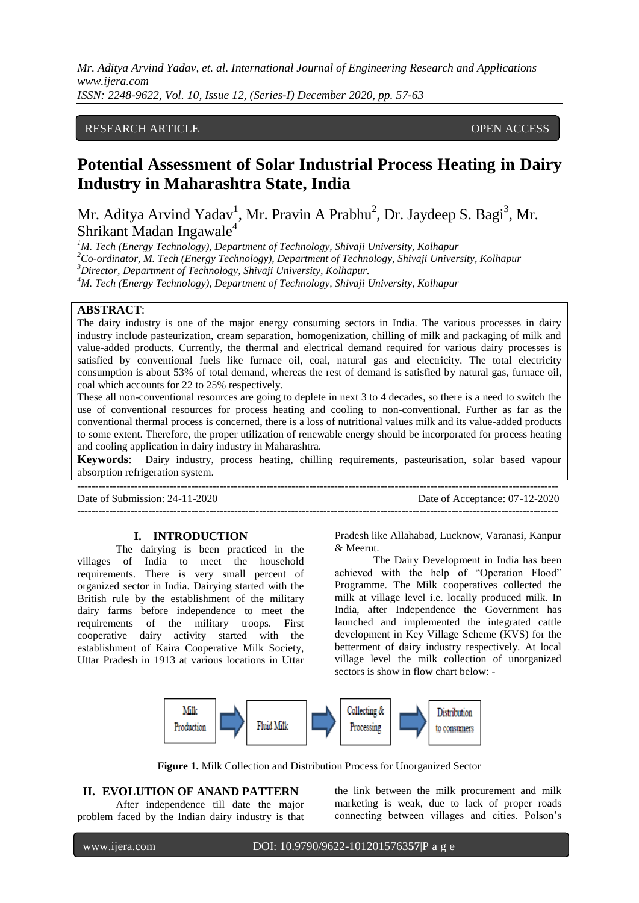#### RESEARCH ARTICLE **CONSERVERS** OPEN ACCESS

# **Potential Assessment of Solar Industrial Process Heating in Dairy Industry in Maharashtra State, India**

Mr. Aditya Arvind Yadav<sup>1</sup>, Mr. Pravin A Prabhu<sup>2</sup>, Dr. Jaydeep S. Bagi<sup>3</sup>, Mr. Shrikant Madan Ingawale<sup>4</sup>

*M. Tech (Energy Technology), Department of Technology, Shivaji University, Kolhapur Co-ordinator, M. Tech (Energy Technology), Department of Technology, Shivaji University, Kolhapur Director, Department of Technology, Shivaji University, Kolhapur. M. Tech (Energy Technology), Department of Technology, Shivaji University, Kolhapur*

# **ABSTRACT**:

The dairy industry is one of the major energy consuming sectors in India. The various processes in dairy industry include pasteurization, cream separation, homogenization, chilling of milk and packaging of milk and value-added products. Currently, the thermal and electrical demand required for various dairy processes is satisfied by conventional fuels like furnace oil, coal, natural gas and electricity. The total electricity consumption is about 53% of total demand, whereas the rest of demand is satisfied by natural gas, furnace oil, coal which accounts for 22 to 25% respectively.

These all non-conventional resources are going to deplete in next 3 to 4 decades, so there is a need to switch the use of conventional resources for process heating and cooling to non-conventional. Further as far as the conventional thermal process is concerned, there is a loss of nutritional values milk and its value-added products to some extent. Therefore, the proper utilization of renewable energy should be incorporated for process heating and cooling application in dairy industry in Maharashtra.

**Keywords**: Dairy industry, process heating, chilling requirements, pasteurisation, solar based vapour absorption refrigeration system. ---------------------------------------------------------------------------------------------------------------------------------------

Date of Submission: 24-11-2020 Date of Acceptance: 07-12-2020

#### **I. INTRODUCTION**

The dairying is been practiced in the villages of India to meet the household requirements. There is very small percent of organized sector in India. Dairying started with the British rule by the establishment of the military dairy farms before independence to meet the requirements of the military troops. First cooperative dairy activity started with the establishment of Kaira Cooperative Milk Society, Uttar Pradesh in 1913 at various locations in Uttar

Pradesh like Allahabad, Lucknow, Varanasi, Kanpur & Meerut.

---------------------------------------------------------------------------------------------------------------------------------------

The Dairy Development in India has been achieved with the help of "Operation Flood" Programme. The Milk cooperatives collected the milk at village level i.e. locally produced milk. In India, after Independence the Government has launched and implemented the integrated cattle development in Key Village Scheme (KVS) for the betterment of dairy industry respectively. At local village level the milk collection of unorganized sectors is show in flow chart below: -



**Figure 1.** Milk Collection and Distribution Process for Unorganized Sector

# **II. EVOLUTION OF ANAND PATTERN**

After independence till date the major problem faced by the Indian dairy industry is that the link between the milk procurement and milk marketing is weak, due to lack of proper roads connecting between villages and cities. Polson"s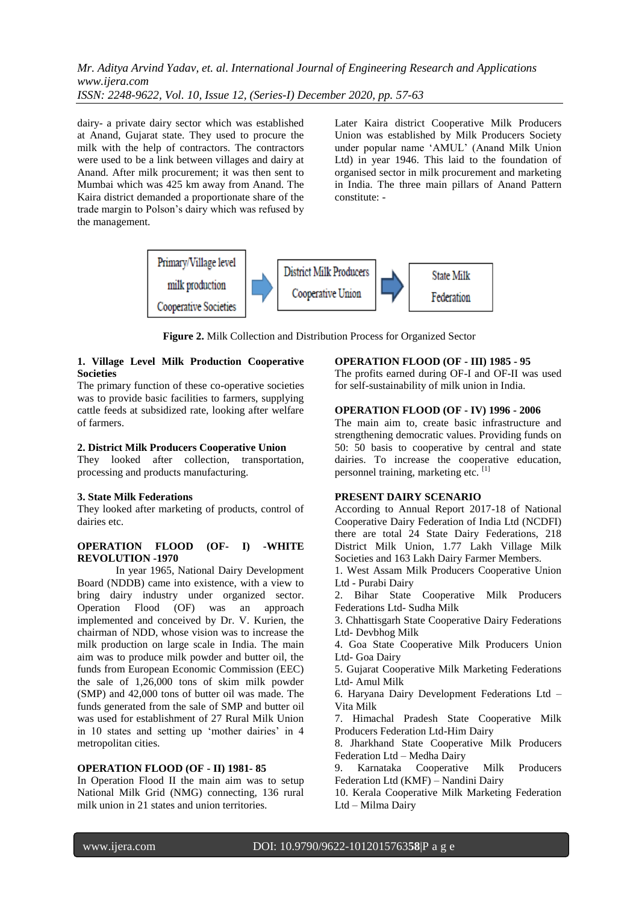dairy- a private dairy sector which was established at Anand, Gujarat state. They used to procure the milk with the help of contractors. The contractors were used to be a link between villages and dairy at Anand. After milk procurement; it was then sent to Mumbai which was 425 km away from Anand. The Kaira district demanded a proportionate share of the trade margin to Polson"s dairy which was refused by the management.

Later Kaira district Cooperative Milk Producers Union was established by Milk Producers Society under popular name "AMUL" (Anand Milk Union Ltd) in year 1946. This laid to the foundation of organised sector in milk procurement and marketing in India. The three main pillars of Anand Pattern constitute: -



**Figure 2.** Milk Collection and Distribution Process for Organized Sector

# **1. Village Level Milk Production Cooperative Societies**

The primary function of these co-operative societies was to provide basic facilities to farmers, supplying cattle feeds at subsidized rate, looking after welfare of farmers.

# **2. District Milk Producers Cooperative Union**

They looked after collection, transportation, processing and products manufacturing.

# **3. State Milk Federations**

They looked after marketing of products, control of dairies etc.

# **OPERATION FLOOD (OF- I) -WHITE REVOLUTION -1970**

In year 1965, National Dairy Development Board (NDDB) came into existence, with a view to bring dairy industry under organized sector. Operation Flood (OF) was an approach implemented and conceived by Dr. V. Kurien, the chairman of NDD, whose vision was to increase the milk production on large scale in India. The main aim was to produce milk powder and butter oil, the funds from European Economic Commission (EEC) the sale of 1,26,000 tons of skim milk powder (SMP) and 42,000 tons of butter oil was made. The funds generated from the sale of SMP and butter oil was used for establishment of 27 Rural Milk Union in 10 states and setting up 'mother dairies' in 4 metropolitan cities.

# **OPERATION FLOOD (OF - II) 1981- 85**

In Operation Flood II the main aim was to setup National Milk Grid (NMG) connecting, 136 rural milk union in 21 states and union territories.

#### **OPERATION FLOOD (OF - III) 1985 - 95**

The profits earned during OF-I and OF-II was used for self-sustainability of milk union in India.

#### **OPERATION FLOOD (OF - IV) 1996 - 2006**

The main aim to, create basic infrastructure and strengthening democratic values. Providing funds on 50: 50 basis to cooperative by central and state dairies. To increase the cooperative education, personnel training, marketing etc. [1]

# **PRESENT DAIRY SCENARIO**

According to Annual Report 2017-18 of National Cooperative Dairy Federation of India Ltd (NCDFI) there are total 24 State Dairy Federations, 218 District Milk Union, 1.77 Lakh Village Milk Societies and 163 Lakh Dairy Farmer Members.

1. West Assam Milk Producers Cooperative Union Ltd - Purabi Dairy

2. Bihar State Cooperative Milk Producers Federations Ltd- Sudha Milk

3. Chhattisgarh State Cooperative Dairy Federations Ltd- Devbhog Milk

4. Goa State Cooperative Milk Producers Union Ltd- Goa Dairy

5. Gujarat Cooperative Milk Marketing Federations Ltd- Amul Milk

6. Haryana Dairy Development Federations Ltd – Vita Milk

7. Himachal Pradesh State Cooperative Milk Producers Federation Ltd-Him Dairy

8. Jharkhand State Cooperative Milk Producers Federation Ltd – Medha Dairy

9. Karnataka Cooperative Milk Producers Federation Ltd (KMF) – Nandini Dairy

10. Kerala Cooperative Milk Marketing Federation Ltd – Milma Dairy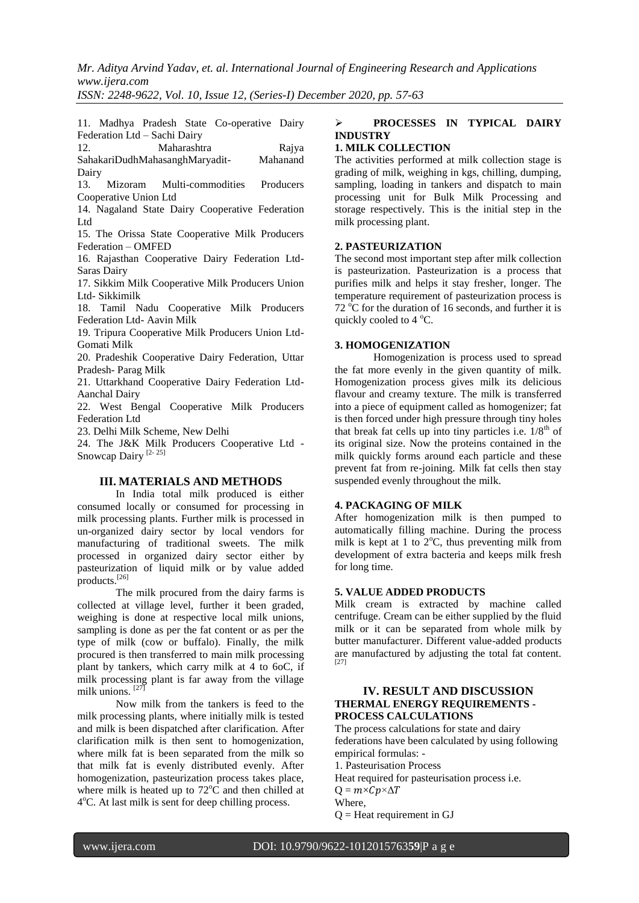*Mr. Aditya Arvind Yadav, et. al. International Journal of Engineering Research and Applications www.ijera.com*

*ISSN: 2248-9622, Vol. 10, Issue 12, (Series-I) December 2020, pp. 57-63*

11. Madhya Pradesh State Co-operative Dairy Federation Ltd – Sachi Dairy

12. Maharashtra Rajya<br>SahakariDudhMahasanghMaryadit- Mahanand SahakariDudhMahasanghMaryadit-

Dairy<br>13. Mizoram Multi-commodities Producers Cooperative Union Ltd

14. Nagaland State Dairy Cooperative Federation Ltd

15. The Orissa State Cooperative Milk Producers Federation – OMFED

16. Rajasthan Cooperative Dairy Federation Ltd-Saras Dairy

17. Sikkim Milk Cooperative Milk Producers Union Ltd- Sikkimilk

18. Tamil Nadu Cooperative Milk Producers Federation Ltd- Aavin Milk

19. Tripura Cooperative Milk Producers Union Ltd-Gomati Milk

20. Pradeshik Cooperative Dairy Federation, Uttar Pradesh- Parag Milk

21. Uttarkhand Cooperative Dairy Federation Ltd-Aanchal Dairy

22. West Bengal Cooperative Milk Producers Federation Ltd

23. Delhi Milk Scheme, New Delhi

24. The J&K Milk Producers Cooperative Ltd - Snowcap Dairy<sup>[2-25]</sup>

#### **III. MATERIALS AND METHODS**

In India total milk produced is either consumed locally or consumed for processing in milk processing plants. Further milk is processed in un-organized dairy sector by local vendors for manufacturing of traditional sweets. The milk processed in organized dairy sector either by pasteurization of liquid milk or by value added products.[26]

The milk procured from the dairy farms is collected at village level, further it been graded, weighing is done at respective local milk unions, sampling is done as per the fat content or as per the type of milk (cow or buffalo). Finally, the milk procured is then transferred to main milk processing plant by tankers, which carry milk at 4 to 6oC, if milk processing plant is far away from the village milk unions.  $[27]$ 

Now milk from the tankers is feed to the milk processing plants, where initially milk is tested and milk is been dispatched after clarification. After clarification milk is then sent to homogenization, where milk fat is been separated from the milk so that milk fat is evenly distributed evenly. After homogenization, pasteurization process takes place, where milk is heated up to  $72^{\circ}$ C and then chilled at 4°C. At last milk is sent for deep chilling process.

# **PROCESSES IN TYPICAL DAIRY INDUSTRY**

# **1. MILK COLLECTION**

The activities performed at milk collection stage is grading of milk, weighing in kgs, chilling, dumping, sampling, loading in tankers and dispatch to main processing unit for Bulk Milk Processing and storage respectively. This is the initial step in the milk processing plant.

#### **2. PASTEURIZATION**

The second most important step after milk collection is pasteurization. Pasteurization is a process that purifies milk and helps it stay fresher, longer. The temperature requirement of pasteurization process is 72  $^{\circ}$ C for the duration of 16 seconds, and further it is quickly cooled to  $4^{\circ}$ C.

# **3. HOMOGENIZATION**

Homogenization is process used to spread the fat more evenly in the given quantity of milk. Homogenization process gives milk its delicious flavour and creamy texture. The milk is transferred into a piece of equipment called as homogenizer; fat is then forced under high pressure through tiny holes that break fat cells up into tiny particles i.e.  $1/8^{th}$  of its original size. Now the proteins contained in the milk quickly forms around each particle and these prevent fat from re-joining. Milk fat cells then stay suspended evenly throughout the milk.

#### **4. PACKAGING OF MILK**

After homogenization milk is then pumped to automatically filling machine. During the process milk is kept at 1 to  $2^{\circ}$ C, thus preventing milk from development of extra bacteria and keeps milk fresh for long time.

# **5. VALUE ADDED PRODUCTS**

Milk cream is extracted by machine called centrifuge. Cream can be either supplied by the fluid milk or it can be separated from whole milk by butter manufacturer. Different value-added products are manufactured by adjusting the total fat content. [27]

# **IV. RESULT AND DISCUSSION THERMAL ENERGY REQUIREMENTS - PROCESS CALCULATIONS**

The process calculations for state and dairy federations have been calculated by using following empirical formulas: -

1. Pasteurisation Process

Heat required for pasteurisation process i.e.

 $Q = m \times Cp \times \Delta T$ 

Where,

 $Q =$  Heat requirement in GJ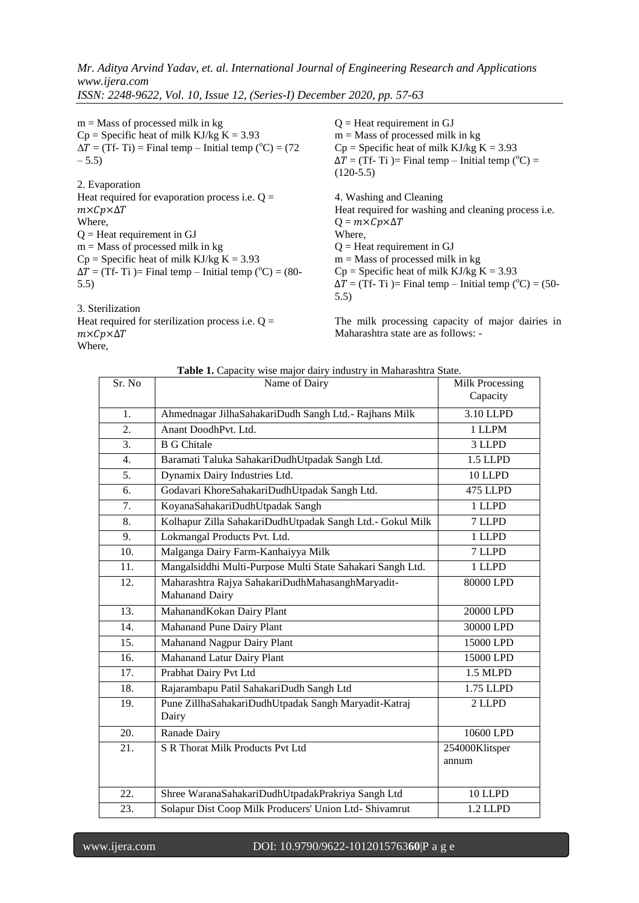$m =$ Mass of processed milk in kg  $Cp = Specific heat of milk KJ/kg K = 3.93$  $\Delta T = (Tf - Ti) =$  Final temp – Initial temp (°C) = (72)  $-5.5$ )

2. Evaporation Heat required for evaporation process i.e.  $Q =$  $m\times Cp\times\Delta T$ Where,  $Q =$  Heat requirement in GJ  $m =$ Mass of processed milk in kg  $Cp =$  Specific heat of milk KJ/kg K = 3.93  $\Delta T = (Tf - Ti) =$  Final temp – Initial temp (°C) = (80-5.5)

3. Sterilization Heat required for sterilization process i.e.  $Q =$  $m\times Cp\times\Delta T$ Where,

 $Q =$  Heat requirement in GJ  $m =$  Mass of processed milk in kg  $Cp$  = Specific heat of milk KJ/kg K = 3.93  $\Delta T = (Tf - Ti) =$  Final temp – Initial temp (°C) = (120-5.5) 4. Washing and Cleaning Heat required for washing and cleaning process i.e.  $Q = m \times Cp \times \Delta T$ Where,  $Q =$  Heat requirement in GJ  $m =$ Mass of processed milk in kg  $Cp = Specific heat of milk KJ/kg K = 3.93$  $\Delta T = (Tf - Ti) =$  Final temp – Initial temp (°C) = (50-5.5)

The milk processing capacity of major dairies in Maharashtra state are as follows: -

| Sr. No           | Name of Dairy                                                      | Milk Processing<br>Capacity |  |  |  |
|------------------|--------------------------------------------------------------------|-----------------------------|--|--|--|
| 1.               | Ahmednagar JilhaSahakariDudh Sangh Ltd.- Rajhans Milk              | 3.10 LLPD                   |  |  |  |
| 2.               | Anant DoodhPvt. Ltd.                                               | 1 LLPM                      |  |  |  |
| $\overline{3}$ . | <b>B</b> G Chitale                                                 | 3 LLPD                      |  |  |  |
| $\overline{4}$ . | Baramati Taluka SahakariDudhUtpadak Sangh Ltd.                     | 1.5 LLPD                    |  |  |  |
| 5.               | Dynamix Dairy Industries Ltd.                                      | 10 LLPD                     |  |  |  |
| 6.               | Godavari KhoreSahakariDudhUtpadak Sangh Ltd.                       | 475 LLPD                    |  |  |  |
| 7.               | KoyanaSahakariDudhUtpadak Sangh                                    | 1 LLPD                      |  |  |  |
| 8.               | Kolhapur Zilla SahakariDudhUtpadak Sangh Ltd.- Gokul Milk          | 7 LLPD                      |  |  |  |
| 9.               | Lokmangal Products Pvt. Ltd.                                       | 1 LLPD                      |  |  |  |
| 10.              | Malganga Dairy Farm-Kanhaiyya Milk                                 | 7 LLPD                      |  |  |  |
| 11.              | Mangalsiddhi Multi-Purpose Multi State Sahakari Sangh Ltd.         | 1 LLPD                      |  |  |  |
| 12.              | Maharashtra Rajya SahakariDudhMahasanghMaryadit-<br>Mahanand Dairy | 80000 LPD                   |  |  |  |
| 13.              | MahanandKokan Dairy Plant                                          | 20000 LPD                   |  |  |  |
| 14.              | Mahanand Pune Dairy Plant                                          | 30000 LPD                   |  |  |  |
| 15.              | Mahanand Nagpur Dairy Plant                                        | 15000 LPD                   |  |  |  |
| 16.              | Mahanand Latur Dairy Plant                                         | 15000 LPD                   |  |  |  |
| 17.              | Prabhat Dairy Pvt Ltd                                              | 1.5 MLPD                    |  |  |  |
| 18.              | Rajarambapu Patil SahakariDudh Sangh Ltd                           | 1.75 LLPD                   |  |  |  |
| 19.              | Pune ZillhaSahakariDudhUtpadak Sangh Maryadit-Katraj<br>Dairy      | 2 LLPD                      |  |  |  |
| 20.              | Ranade Dairy                                                       | 10600 LPD                   |  |  |  |
| 21.              | S R Thorat Milk Products Pvt Ltd                                   | 254000Klitsper<br>annum     |  |  |  |
| 22.              | Shree WaranaSahakariDudhUtpadakPrakriya Sangh Ltd                  | 10 LLPD                     |  |  |  |
| 23.              | Solapur Dist Coop Milk Producers' Union Ltd-Shivamrut<br>1.2 LLPD  |                             |  |  |  |

#### **Table 1.** Capacity wise major dairy industry in Maharashtra State.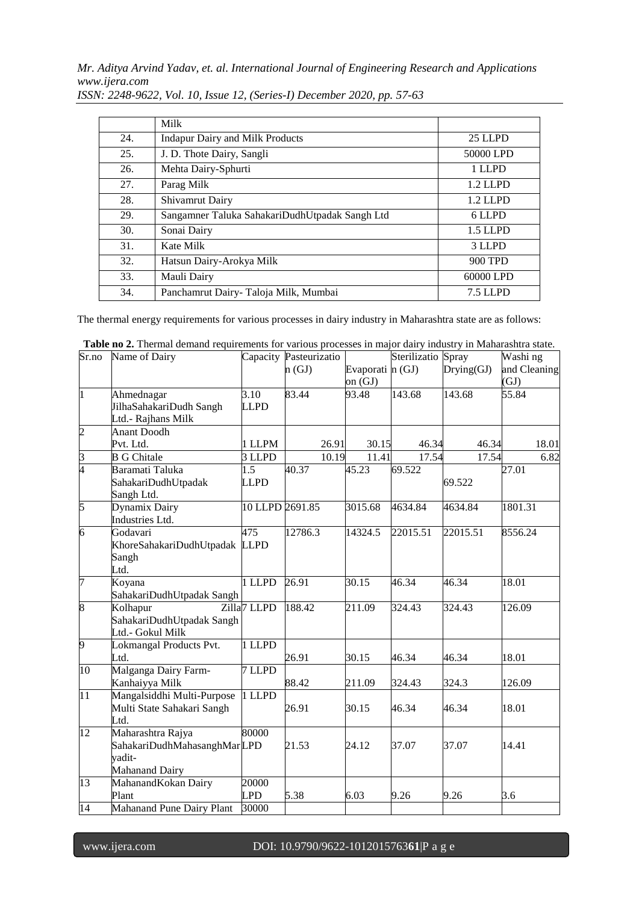*Mr. Aditya Arvind Yadav, et. al. International Journal of Engineering Research and Applications www.ijera.com*

|     | Milk                                           |            |
|-----|------------------------------------------------|------------|
| 24. | <b>Indapur Dairy and Milk Products</b>         | 25 LLPD    |
| 25. | J. D. Thote Dairy, Sangli                      | 50000 LPD  |
| 26. | Mehta Dairy-Sphurti                            | 1 LLPD     |
| 27. | Parag Milk                                     | $1.2$ LLPD |
| 28. | Shivamrut Dairy                                | 1.2 LLPD   |
| 29. | Sangamner Taluka SahakariDudhUtpadak Sangh Ltd | 6 LLPD     |
| 30. | Sonai Dairy                                    | 1.5 LLPD   |
| 31. | Kate Milk                                      | 3 LLPD     |
| 32. | Hatsun Dairy-Arokya Milk                       | 900 TPD    |
| 33. | Mauli Dairy                                    | 60000 LPD  |
| 34. | Panchamrut Dairy- Taloja Milk, Mumbai          | 7.5 LLPD   |

*ISSN: 2248-9622, Vol. 10, Issue 12, (Series-I) December 2020, pp. 57-63*

The thermal energy requirements for various processes in dairy industry in Maharashtra state are as follows:

| Sr.no           | Name of Dairy               |                         | Capacity Pasteurizatio |                  | Sterilizatio Spray |            | Washi ng     |
|-----------------|-----------------------------|-------------------------|------------------------|------------------|--------------------|------------|--------------|
|                 |                             |                         | n(GJ)                  | Evaporati n (GJ) |                    | Drying(GJ) | and Cleaning |
|                 |                             |                         |                        | on $(GJ)$        |                    |            | (GJ)         |
| $\vert$ 1       | Ahmednagar                  | 3.10                    | 83.44                  | 93.48            | 143.68             | 143.68     | 55.84        |
|                 | JilhaSahakariDudh Sangh     | <b>LLPD</b>             |                        |                  |                    |            |              |
|                 | Ltd.- Rajhans Milk          |                         |                        |                  |                    |            |              |
| $\overline{2}$  | <b>Anant Doodh</b>          |                         |                        |                  |                    |            |              |
|                 | Pvt. Ltd.                   | 1 LLPM                  | 26.91                  | 30.15            | 46.34              | 46.34      | 18.01        |
|                 | <b>B</b> G Chitale          | 3 LLPD                  | 10.19                  | 11.41            | 17.54              | 17.54      | 6.82         |
| $\frac{3}{4}$   | Baramati Taluka             | 1.5                     | 40.37                  | 45.23            | 69.522             |            | 27.01        |
|                 | SahakariDudhUtpadak         | <b>LLPD</b>             |                        |                  |                    | 69.522     |              |
|                 | Sangh Ltd.                  |                         |                        |                  |                    |            |              |
| 5               | Dynamix Dairy               | 10 LLPD 2691.85         |                        | 3015.68          | 4634.84            | 4634.84    | 1801.31      |
|                 | Industries Ltd.             |                         |                        |                  |                    |            |              |
| $\overline{6}$  | Godavari                    | 475                     | 12786.3                | 14324.5          | 22015.51           | 22015.51   | 8556.24      |
|                 | KhoreSahakariDudhUtpadak    | <b>LLPD</b>             |                        |                  |                    |            |              |
|                 | Sangh                       |                         |                        |                  |                    |            |              |
|                 | Ltd.                        |                         |                        |                  |                    |            |              |
| 7               | Koyana                      | 1 LLPD                  | 26.91                  | 30.15            | 46.34              | 46.34      | 18.01        |
|                 | SahakariDudhUtpadak Sangh   |                         |                        |                  |                    |            |              |
| $\overline{8}$  | Kolhapur                    | Zilla <sub>7</sub> LLPD | 188.42                 | 211.09           | 324.43             | 324.43     | 126.09       |
|                 | SahakariDudhUtpadak Sangh   |                         |                        |                  |                    |            |              |
|                 | Ltd.- Gokul Milk            |                         |                        |                  |                    |            |              |
| 9               | Lokmangal Products Pvt.     | 1 LLPD                  |                        |                  |                    |            |              |
|                 | Ltd.                        |                         | 26.91                  | 30.15            | 46.34              | 46.34      | 18.01        |
| 10              | Malganga Dairy Farm-        | 7 LLPD                  |                        |                  |                    |            |              |
|                 | Kanhaiyya Milk              |                         | 88.42                  | 211.09           | 324.43             | 324.3      | 126.09       |
| $\overline{11}$ | Mangalsiddhi Multi-Purpose  | 1 LLPD                  |                        |                  |                    |            |              |
|                 | Multi State Sahakari Sangh  |                         | 26.91                  | 30.15            | 46.34              | 46.34      | 18.01        |
|                 | Ltd.                        |                         |                        |                  |                    |            |              |
| 12              | Maharashtra Rajya           | 80000                   |                        |                  |                    |            |              |
|                 | SahakariDudhMahasanghMarLPD |                         | 21.53                  | 24.12            | 37.07              | 37.07      | 14.41        |
|                 | yadit-                      |                         |                        |                  |                    |            |              |
|                 | Mahanand Dairy              |                         |                        |                  |                    |            |              |
| 13              | MahanandKokan Dairy         | 20000                   |                        |                  |                    |            |              |
|                 | Plant                       | <b>LPD</b>              | 5.38                   | 6.03             | 9.26               | 9.26       | 3.6          |
| 14              | Mahanand Pune Dairy Plant   | 30000                   |                        |                  |                    |            |              |

**Table no 2.** Thermal demand requirements for various processes in major dairy industry in Maharashtra state.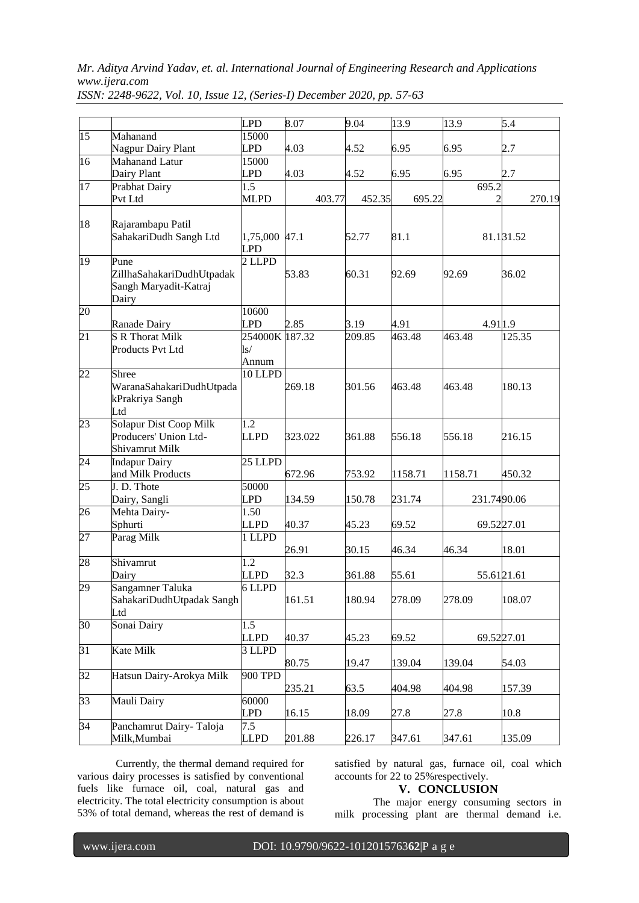*Mr. Aditya Arvind Yadav, et. al. International Journal of Engineering Research and Applications www.ijera.com*

|                 |                                                                     | <b>LPD</b>                              | 8.07    | 9.04   | 13.9    | 13.9        | 5.4        |
|-----------------|---------------------------------------------------------------------|-----------------------------------------|---------|--------|---------|-------------|------------|
| $\overline{15}$ | Mahanand                                                            | 15000                                   |         |        |         |             |            |
|                 | Nagpur Dairy Plant                                                  | <b>LPD</b>                              | 4.03    | 4.52   | 6.95    | 6.95        | 2.7        |
| 16              | Mahanand Latur                                                      | 15000                                   |         |        |         |             |            |
|                 | Dairy Plant                                                         | <b>LPD</b>                              | 4.03    | 4.52   | 6.95    | 6.95        | 2.7        |
| 17              | Prabhat Dairy                                                       | 1.5                                     |         |        |         | 695.2       |            |
|                 | Pvt Ltd                                                             | <b>MLPD</b>                             | 403.77  | 452.35 | 695.22  |             | 270.19     |
|                 |                                                                     |                                         |         |        |         |             |            |
| 18              | Rajarambapu Patil<br>SahakariDudh Sangh Ltd                         | 1,75,000 47.1<br><b>LPD</b>             |         | 52.77  | 81.1    |             | 81.131.52  |
| $\overline{19}$ | Pune<br>ZillhaSahakariDudhUtpadak<br>Sangh Maryadit-Katraj<br>Dairy | 2 LLPD                                  | 53.83   | 60.31  | 92.69   | 92.69       | 36.02      |
| 20              |                                                                     | 10600                                   |         |        |         |             |            |
|                 | Ranade Dairy                                                        | <b>LPD</b>                              | 2.85    | 3.19   | 4.91    | 4.911.9     |            |
| $\overline{21}$ | <b>S R Thorat Milk</b><br>Products Pvt Ltd                          | 254000K 187.32<br>$\text{ls}/$<br>Annum |         | 209.85 | 463.48  | 463.48      | 125.35     |
| $\overline{22}$ | Shree<br>WaranaSahakariDudhUtpada<br>kPrakriya Sangh<br>Ltd         | 10 LLPD                                 | 269.18  | 301.56 | 463.48  | 463.48      | 180.13     |
| $\overline{23}$ | Solapur Dist Coop Milk<br>Producers' Union Ltd-<br>Shivamrut Milk   | $\overline{1.2}$<br><b>LLPD</b>         | 323.022 | 361.88 | 556.18  | 556.18      | 216.15     |
| $\overline{24}$ | <b>Indapur Dairy</b>                                                | 25 LLPD                                 |         |        |         |             |            |
|                 | and Milk Products                                                   |                                         | 672.96  | 753.92 | 1158.71 | 1158.71     | 450.32     |
| $\overline{25}$ | J. D. Thote                                                         | 50000                                   |         |        |         |             |            |
|                 | Dairy, Sangli                                                       | <b>LPD</b>                              | 134.59  | 150.78 | 231.74  | 231.7490.06 |            |
| 26              | Mehta Dairy-                                                        | 1.50                                    |         |        |         |             |            |
|                 | Sphurti                                                             | <b>LLPD</b>                             | 40.37   | 45.23  | 69.52   | 69.5227.01  |            |
| $\overline{27}$ | Parag Milk                                                          | 1 LLPD                                  |         |        |         |             |            |
|                 |                                                                     |                                         | 26.91   | 30.15  | 46.34   | 46.34       | 18.01      |
| 28              | Shivamrut                                                           | 1.2                                     |         |        |         |             |            |
|                 | Dairy                                                               | <b>LLPD</b>                             | 32.3    | 361.88 | 55.61   | 55.6121.61  |            |
| 29              | Sangamner Taluka<br>SahakariDudhUtpadak Sangh<br>Ltd                | 6 LLPD                                  | 161.51  | 180.94 | 278.09  | 278.09      | 108.07     |
| $\overline{30}$ | Sonai Dairy                                                         | $\overline{1.5}$                        |         |        |         |             |            |
|                 |                                                                     | <b>LLPD</b>                             | 40.37   | 45.23  | 69.52   |             | 69.5227.01 |
| $\overline{31}$ | Kate Milk                                                           | $\overline{3}$ LLPD                     |         |        |         |             |            |
|                 |                                                                     |                                         | 80.75   | 19.47  | 139.04  | 139.04      | 54.03      |
| 32              | Hatsun Dairy-Arokya Milk                                            | 900 TPD                                 | 235.21  | 63.5   | 404.98  | 404.98      | 157.39     |
| 33              | Mauli Dairy                                                         | 60000<br>LPD                            | 16.15   | 18.09  | 27.8    | 27.8        | 10.8       |
| 34              | Panchamrut Dairy-Taloja                                             | 7.5                                     |         |        |         |             |            |
|                 | Milk, Mumbai                                                        | <b>LLPD</b>                             | 201.88  | 226.17 | 347.61  | 347.61      | 135.09     |

*ISSN: 2248-9622, Vol. 10, Issue 12, (Series-I) December 2020, pp. 57-63*

Currently, the thermal demand required for various dairy processes is satisfied by conventional fuels like furnace oil, coal, natural gas and electricity. The total electricity consumption is about 53% of total demand, whereas the rest of demand is

satisfied by natural gas, furnace oil, coal which accounts for 22 to 25%respectively.

# **V. CONCLUSION**

The major energy consuming sectors in milk processing plant are thermal demand i.e.